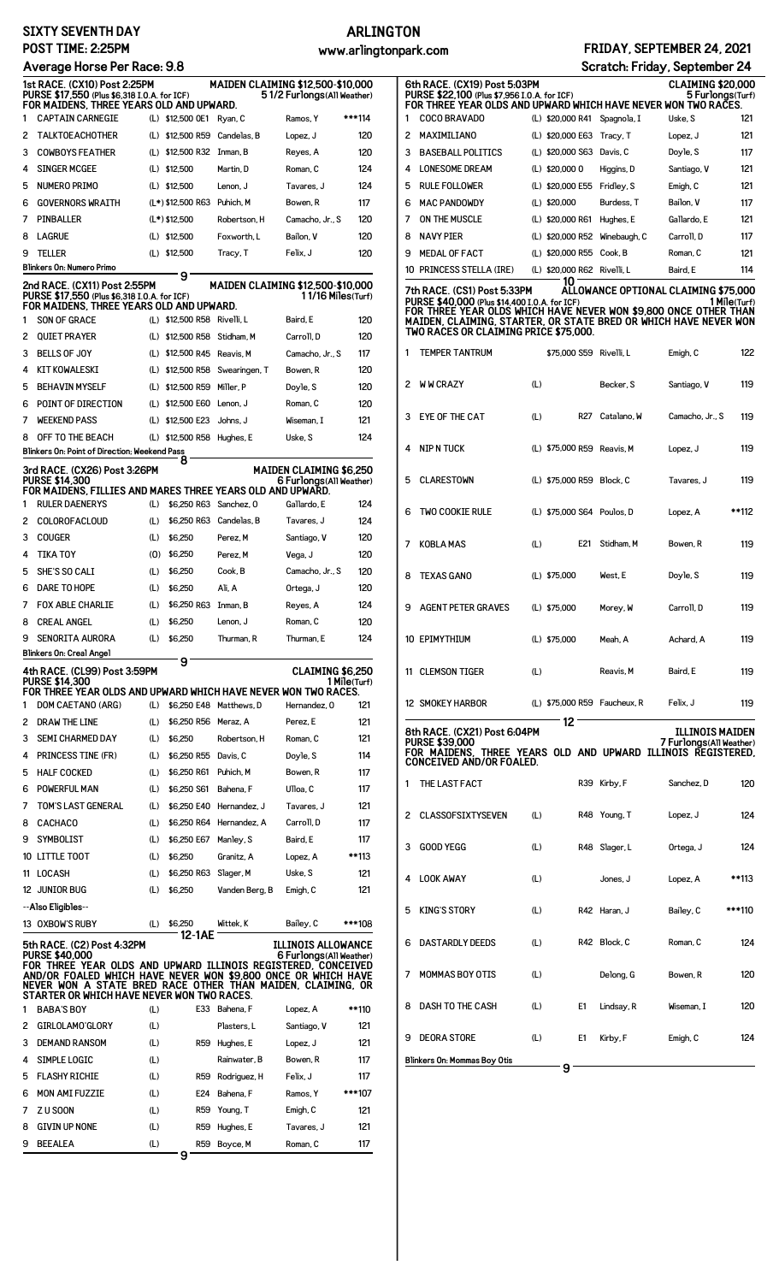#### **SIXTY SEVENTH DAY POST TIME: 2:25PM**

#### **Average Horse Per Race: 9.8**

# **ARLINGTON**

### **www.arlingtonpark.com FRIDAY, SEPTEMBER 24, 2021**

**6th RACE. (CX19) Post 5:03PM CLAIMING \$20,000**

**Scratch: Friday, September 24**<br>CLAIMING \$20,000<br>HIGH HAVE NEVER HON 5 FULOR SCRIT

| Average Horse Per Race: 9.8                                                                                                                                                                                                                                                                                            |                                                                                                                          |     |                             |                                   |                                                            |              |
|------------------------------------------------------------------------------------------------------------------------------------------------------------------------------------------------------------------------------------------------------------------------------------------------------------------------|--------------------------------------------------------------------------------------------------------------------------|-----|-----------------------------|-----------------------------------|------------------------------------------------------------|--------------|
| 1st RACE. (CX10) Post 2:25PM<br><b>MAIDEN CLAIMING \$12,500-\$10,000</b><br>PURSE \$17,550 (Plus \$6,318 I.O.A. for ICF)<br>51/2 Furlongs (All Weather)<br>FOR MAIDENS, THREE YEARS OLD AND UPWARD.                                                                                                                    |                                                                                                                          |     |                             |                                   |                                                            |              |
| 1                                                                                                                                                                                                                                                                                                                      | <b>CAPTAIN CARNEGIE</b>                                                                                                  |     | (L) \$12,500 OE1            | Ryan, C                           | Ramos, Y                                                   | ***114       |
| 2                                                                                                                                                                                                                                                                                                                      | <b>TALKTOE ACHOTHER</b>                                                                                                  | (L) | \$12,500 R59                | Candelas, B                       | Lopez, J                                                   | 120          |
| 3                                                                                                                                                                                                                                                                                                                      | <b>COWBOYS FEATHER</b>                                                                                                   |     | (L) \$12,500 R32            | Inman, B                          | Reyes, A                                                   | 120          |
| 4                                                                                                                                                                                                                                                                                                                      | <b>SINGER MCGEE</b>                                                                                                      |     | (L) \$12,500                | Martin, D                         | Roman, C                                                   | 124          |
| 5                                                                                                                                                                                                                                                                                                                      | <b>NUMERO PRIMO</b>                                                                                                      |     | $(L)$ \$12,500              | Lenon, J                          | Tavares, J                                                 | 124          |
| 6                                                                                                                                                                                                                                                                                                                      | <b>GOVERNORS WRAITH</b>                                                                                                  |     | $(L*)$ \$12,500 R63         | Puhich, M                         | Bowen, R                                                   | 117          |
| 7                                                                                                                                                                                                                                                                                                                      | <b>PINBALLER</b>                                                                                                         |     | $(L*)$ \$12.500             | Robertson, H                      | Camacho, Jr., S                                            | 120          |
| 8                                                                                                                                                                                                                                                                                                                      | <b>LAGRUE</b>                                                                                                            |     | $(L)$ \$12,500              | Foxworth. L                       | Bailon, V                                                  | 120          |
| 9                                                                                                                                                                                                                                                                                                                      | <b>TELLER</b>                                                                                                            |     | (L) \$12,500                | Tracy, T                          | Felix, J                                                   | 120          |
|                                                                                                                                                                                                                                                                                                                        | <b>Blinkers On: Numero Primo</b>                                                                                         |     | 9                           |                                   |                                                            |              |
|                                                                                                                                                                                                                                                                                                                        | 2nd RACE. (CX11) Post 2:55PM<br>PURSE \$17,550 (Plus \$6,318 I.O.A. for ICF)<br>FOR MAIDENS, THREE YEARS OLD AND UPWARD. |     |                             | MAIDEN CLAIMING \$12,500-\$10,000 | 1 1/16 Miles(Turf)                                         |              |
| 1                                                                                                                                                                                                                                                                                                                      | SON OF GRACE                                                                                                             |     | (L) \$12,500 R58 Rivelli, L |                                   | Baird, E                                                   | 120          |
| 2                                                                                                                                                                                                                                                                                                                      | <b>OUTET PRAYER</b>                                                                                                      |     | (L) \$12,500 R58            | Stidham, M                        | Carroll, D                                                 | 120          |
| 3                                                                                                                                                                                                                                                                                                                      | <b>BELLS OF JOY</b>                                                                                                      |     | (L) \$12,500 R45 Reavis, M  |                                   | Camacho, Jr., S                                            | 117          |
| 4                                                                                                                                                                                                                                                                                                                      | <b>KIT KOWALESKI</b>                                                                                                     |     | (L) \$12,500 R58            | Swearingen, T                     | Bowen, R                                                   | 120          |
| 5                                                                                                                                                                                                                                                                                                                      | <b>BEHAVIN MYSELF</b>                                                                                                    |     | (L) \$12,500 R59            | Miller, P                         | Doyle, S                                                   | 120          |
| 6                                                                                                                                                                                                                                                                                                                      | POINT OF DIRECTION                                                                                                       |     | (L) \$12,500 E60            | Lenon. J                          | Roman. C                                                   | 120          |
| 7                                                                                                                                                                                                                                                                                                                      | <b>WEEKEND PASS</b>                                                                                                      | (L) | \$12,500 E23                | Johns, J                          | Wiseman, I                                                 | 121          |
| 8                                                                                                                                                                                                                                                                                                                      | OFF TO THE BEACH                                                                                                         |     | (L) \$12,500 R58 Hughes, E  |                                   | Uske, S                                                    | 124          |
|                                                                                                                                                                                                                                                                                                                        | Blinkers On: Point of Direction; Weekend Pass                                                                            |     | 8                           |                                   |                                                            |              |
|                                                                                                                                                                                                                                                                                                                        | 3rd RACE. (CX26) Post 3:26PM<br><b>PURSE \$14,300</b>                                                                    |     |                             |                                   | <b>MAIDEN CLAIMING \$6.250</b><br>6 Furlongs (All Weather) |              |
|                                                                                                                                                                                                                                                                                                                        | FOR MAIDENS, FILLIES AND MARES THREE YEARS OLD AND UPWARD.                                                               |     |                             |                                   |                                                            |              |
| 1                                                                                                                                                                                                                                                                                                                      | <b>RULER DAENERYS</b>                                                                                                    | (L) | \$6,250 R63 Sanchez, 0      |                                   | Gallardo, E                                                | 124          |
| 2                                                                                                                                                                                                                                                                                                                      | <b>COLOROFACLOUD</b>                                                                                                     | (L) | \$6,250 R63                 | Candelas, B                       | Tavares, J                                                 | 124          |
| 3                                                                                                                                                                                                                                                                                                                      | <b>COUGER</b>                                                                                                            | (L) | \$6,250                     | Perez, M                          | Santiago, V                                                | 120          |
| 4                                                                                                                                                                                                                                                                                                                      | <b>TIKA TOY</b>                                                                                                          | (0) | \$6,250                     | Perez. M                          | Vega, J                                                    | 120          |
| 5                                                                                                                                                                                                                                                                                                                      | SHE'S SO CALI                                                                                                            | (L) | \$6.250                     | Cook, B                           | Camacho, Jr., S                                            | 120          |
| 6                                                                                                                                                                                                                                                                                                                      | DARE TO HOPE                                                                                                             | (L) | \$6,250                     | Ali, A                            | Ortega, J                                                  | 120          |
| 7                                                                                                                                                                                                                                                                                                                      | <b>FOX ABLE CHARLIE</b>                                                                                                  | (L) | \$6,250 R63                 | Inman, B                          | Reyes, A                                                   | 124          |
| 8                                                                                                                                                                                                                                                                                                                      | <b>CREAL ANGEL</b>                                                                                                       | (L) | \$6,250                     | Lenon, J                          | Roman, C                                                   | 120          |
| 9                                                                                                                                                                                                                                                                                                                      | SENORITA AURORA                                                                                                          | (L) | \$6,250                     | Thurman, R                        | Thurman, E                                                 | 124          |
|                                                                                                                                                                                                                                                                                                                        | Blinkers On: Creal Angel                                                                                                 |     | 9                           |                                   |                                                            |              |
|                                                                                                                                                                                                                                                                                                                        | 4th RACE. (CL99) Post 3:59PM<br><b>PURSE \$14,300</b><br>FOR THREE YEAR OLDS AND UPWARD WHICH HAVE NEVER WON TWO RACES.  |     |                             |                                   | CLAIMING \$6,250                                           | 1 Mile(Turf) |
| 1                                                                                                                                                                                                                                                                                                                      | DOM CAETANO (ARG)                                                                                                        | (L) |                             | \$6.250 E48 Matthews. D           | Hernandez, 0                                               | 121          |
| 2                                                                                                                                                                                                                                                                                                                      | DRAW THE LINE                                                                                                            | (L) | \$6,250 R56                 | Meraz, A                          | Perez, E                                                   | 121          |
| 3                                                                                                                                                                                                                                                                                                                      | <b>SEMI CHARMED DAY</b>                                                                                                  | (L) | \$6,250                     | Robertson, H                      | Roman, C                                                   | 121          |
| 4                                                                                                                                                                                                                                                                                                                      | <b>PRINCESS TINE (FR)</b>                                                                                                | (L) | \$6,250 R55                 | Davis, C                          | Doyle, S                                                   | 114          |
| 5                                                                                                                                                                                                                                                                                                                      | <b>HALF COCKED</b>                                                                                                       | (L) | \$6,250 R61                 | Puhich, M                         | Bowen, R                                                   | 117          |
| 6                                                                                                                                                                                                                                                                                                                      | POWERFUL MAN                                                                                                             | (L) | \$6,250 S61                 | Bahena, F                         | Ulloa, C                                                   | 117          |
| 7                                                                                                                                                                                                                                                                                                                      | TOM'S LAST GENERAL                                                                                                       | (L) | \$6,250 E40                 | Hernandez, J                      | Tavares, J                                                 | 121          |
| 8                                                                                                                                                                                                                                                                                                                      | <b>CACHACO</b>                                                                                                           | (L) | \$6,250 R64                 | Hernandez, A                      | Carroll, D                                                 | 117          |
| 9                                                                                                                                                                                                                                                                                                                      | SYMBOLIST                                                                                                                | (L) | \$6,250 E67                 | Manley, S                         | Baird, E                                                   | 117          |
|                                                                                                                                                                                                                                                                                                                        | 10 LITTLE TOOT                                                                                                           | (L) | \$6,250                     | Granitz, A                        | Lopez, A                                                   | **113        |
| 11                                                                                                                                                                                                                                                                                                                     | LOCASH                                                                                                                   | (L) | \$6,250 R63                 | Slager, M                         | Uske, S                                                    | 121          |
|                                                                                                                                                                                                                                                                                                                        | 12 JUNIOR BUG<br>--Also Eligibles--                                                                                      | (L) | \$6,250                     | Vanden Berg, B                    | Emigh, C                                                   | 121          |
|                                                                                                                                                                                                                                                                                                                        | 13 OXBOW'S RUBY                                                                                                          | (L) | \$6,250                     | Wittek, K                         | Bailey, C                                                  | ***108       |
|                                                                                                                                                                                                                                                                                                                        | 5th RACE. (C2) Post 4:32PM                                                                                               |     | 12-1AE                      |                                   |                                                            |              |
| ILLINOIS ALLOWANCE<br><b>PURSE \$40.000</b><br>6 Furlongs (All Weather)<br>FOR THREE YEAR OLDS AND UPWARD ILLINOIS REGISTERED, CONCEIVED<br>AND/OR FOALED WHICH HAVE NEVER WON \$9,800 ONCE OR WHICH HAVE<br>NEVER WON A STATE BRED RACE OTHER THAN MAIDEN, CLAIMING, OR<br>STARTER OR WHICH HAVE NEVER WON TWO RACES. |                                                                                                                          |     |                             |                                   |                                                            |              |
| 1                                                                                                                                                                                                                                                                                                                      | <b>BABA'S BOY</b>                                                                                                        | (L) |                             | E33 Bahena, F                     | Lopez, A                                                   | **110        |
| 2                                                                                                                                                                                                                                                                                                                      | GIRLOLAMO'GLORY                                                                                                          | (L) |                             | Plasters, L                       | Santiago, V                                                | 121          |
| 3                                                                                                                                                                                                                                                                                                                      | <b>DEMAND RANSOM</b>                                                                                                     | (L) | R59                         | Hughes, E                         | Lopez, J                                                   | 121          |
| 4                                                                                                                                                                                                                                                                                                                      | <b>SIMPLE LOGIC</b>                                                                                                      | (L) |                             | Rainwater, B                      | Bowen, R                                                   | 117          |
| 5                                                                                                                                                                                                                                                                                                                      | <b>FLASHY RICHIE</b>                                                                                                     | (L) | R59                         | Rodriguez, H                      | Felix, J                                                   | 117          |
| 6                                                                                                                                                                                                                                                                                                                      | <b>MON AMI FUZZIE</b>                                                                                                    | (L) | <b>E24</b>                  | Bahena, F                         | Ramos. Y                                                   | ***107       |
| 7                                                                                                                                                                                                                                                                                                                      | Z U SOON                                                                                                                 | (L) | R59                         | Young, T                          | Emigh, C                                                   | 121          |
| 8                                                                                                                                                                                                                                                                                                                      | <b>GIVIN UP NONE</b>                                                                                                     | (L) | <b>R59</b>                  | Hughes, E                         | Tavares, J                                                 | 121          |
| 9                                                                                                                                                                                                                                                                                                                      | <b>BEEALEA</b>                                                                                                           | (L) | R59                         | Boyce, M                          | Roman, C                                                   | 117          |

**9**

|                                                                                                                                                                                                              | PURSE \$22,100 (Plus \$7,956 I.O.A. for ICF)<br>FOR THREE YEAR OLDS AND UPWARD WHICH HAVE NEVER WON TWO RACES.                                                                                                                                                |     |                  |                 |                                      | 5 Furlongs(Turf) |              |
|--------------------------------------------------------------------------------------------------------------------------------------------------------------------------------------------------------------|---------------------------------------------------------------------------------------------------------------------------------------------------------------------------------------------------------------------------------------------------------------|-----|------------------|-----------------|--------------------------------------|------------------|--------------|
| 1                                                                                                                                                                                                            | COCO BRAVADO                                                                                                                                                                                                                                                  |     | (L) \$20,000 R41 |                 | Spagnola, I                          | Uske, S          | 121          |
| 2                                                                                                                                                                                                            | MAXIMILIANO                                                                                                                                                                                                                                                   |     | (L) \$20,000 E63 |                 | Tracy, T                             | Lopez, J         | 121          |
| 3                                                                                                                                                                                                            | <b>BASEBALL POLITICS</b>                                                                                                                                                                                                                                      |     | (L) \$20,000 S63 |                 | Davis, C                             | Doyle, S         | 117          |
| 4                                                                                                                                                                                                            | <b>LONESOME DREAM</b>                                                                                                                                                                                                                                         |     | (L) \$20,000 0   |                 | Higgins, D                           | Santiago, V      | 121          |
| 5                                                                                                                                                                                                            | <b>RULE FOLLOWER</b>                                                                                                                                                                                                                                          |     | (L) \$20,000 E55 |                 | Fridley, S                           | Emigh, C         | 121          |
| 6                                                                                                                                                                                                            | <b>MAC PANDOWDY</b>                                                                                                                                                                                                                                           |     | (L) \$20,000     |                 | Burdess, T                           | Bailon, V        | 117          |
| 7                                                                                                                                                                                                            | ON THE MUSCLE                                                                                                                                                                                                                                                 |     | (L) \$20,000 R61 |                 | Hughes, E                            | Gallardo. E      | 121          |
| 8                                                                                                                                                                                                            | <b>NAVY PIER</b>                                                                                                                                                                                                                                              |     | (L) \$20,000 R52 |                 | Winebaugh, C                         | Carroll, D       | 117          |
| 9                                                                                                                                                                                                            | <b>MEDAL OF FACT</b>                                                                                                                                                                                                                                          |     | (L) \$20,000 R55 |                 | Cook, B                              | Roman, C         | 121          |
|                                                                                                                                                                                                              | 10 PRINCESS STELLA (IRE)                                                                                                                                                                                                                                      |     | (L) \$20,000 R62 |                 | Rivelli. L                           | Baird, E         | 114          |
|                                                                                                                                                                                                              | 7th RACE. (CS1) Post 5:33PM<br>PURSE \$40,000 (Plus \$14,400 I.O.A. for ICF)<br>FOR THREE YEAR OLDS WHICH HAVE NEVER WON \$9,800 ONCE OTHER THAN<br>MAIDEN, CLAIMING, STARTER, OR STATE BRED OR WHICH HAVE NEVER WON<br>TWO RACES OR CLAIMING PRICE \$75,000. |     | 10               |                 | ALLOWANCE OPTIONAL CLAIMING \$75,000 |                  | 1 Mile(Turf) |
| 1                                                                                                                                                                                                            | TEMPER TANTRUM                                                                                                                                                                                                                                                |     |                  |                 | \$75,000 S59 Rivelli, L              | Emigh, C         | 122          |
| 2                                                                                                                                                                                                            | <b>WW CRAZY</b>                                                                                                                                                                                                                                               | (L) |                  |                 | Becker, S                            | Santiago, V      | 119          |
| 3                                                                                                                                                                                                            | EYE OF THE CAT                                                                                                                                                                                                                                                | (L) |                  | R <sub>27</sub> | Catalano, W                          | Camacho, Jr., S  | 119          |
| 4                                                                                                                                                                                                            | NIP N TUCK                                                                                                                                                                                                                                                    |     |                  |                 | (L) \$75,000 R59 Reavis, M           | Lopez, J         | 119          |
| 5                                                                                                                                                                                                            | <b>CLARESTOWN</b>                                                                                                                                                                                                                                             |     |                  |                 | (L) \$75,000 R59 Block, C            | Tavares, J       | 119          |
| 6                                                                                                                                                                                                            | <b>TWO COOKIE RULE</b>                                                                                                                                                                                                                                        |     |                  |                 | (L) \$75,000 S64 Poulos, D           | Lopez, A         | **112        |
| 7                                                                                                                                                                                                            | <b>KOBLA MAS</b>                                                                                                                                                                                                                                              | (L) |                  | E21             | Stidham, M                           | Bowen, R         | 119          |
| 8                                                                                                                                                                                                            | <b>TEXAS GANO</b>                                                                                                                                                                                                                                             |     | (L) \$75,000     |                 | West, E                              | Doyle, S         | 119          |
| 9                                                                                                                                                                                                            | <b>AGENT PETER GRAVES</b>                                                                                                                                                                                                                                     |     | (L) \$75,000     |                 | Morey, W                             | Carroll, D       | 119          |
|                                                                                                                                                                                                              | 10 EPIMYTHIUM                                                                                                                                                                                                                                                 |     | (L) \$75,000     |                 | Meah, A                              | Achard, A        | 119          |
|                                                                                                                                                                                                              | 11 CLEMSON TIGER                                                                                                                                                                                                                                              | (L) |                  |                 | Reavis, M                            | Baird, E         | 119          |
|                                                                                                                                                                                                              | 12 SMOKEY HARBOR                                                                                                                                                                                                                                              |     |                  |                 | (L) \$75,000 R59 Faucheux, R         | Felix, J         | 119          |
| 12<br>8th RACE. (CX21) Post 6:04PM<br><b>ILLINOIS MAIDEN</b><br><b>PURSE \$39,000</b><br>7 Furlongs(All Weather)<br>FOR MAIDENS. THREE YEARS OLD AND UPWARD ILLINOIS REGISTERED.<br>CONCEIVED AND/OR FOALED. |                                                                                                                                                                                                                                                               |     |                  |                 |                                      |                  |              |
| 1                                                                                                                                                                                                            | THE LAST FACT                                                                                                                                                                                                                                                 |     |                  |                 | R39 Kirby, F                         | Sanchez, D       | 120          |
| 2                                                                                                                                                                                                            | <b>CLASSOFSIXTYSEVEN</b>                                                                                                                                                                                                                                      | (L) |                  |                 | R48 Young, T                         | Lopez, J         | 124          |
| 3                                                                                                                                                                                                            | GOOD YEGG                                                                                                                                                                                                                                                     | (L) |                  |                 | R48 Slager, L                        | Ortega, J        | 124          |
| 4                                                                                                                                                                                                            | <b>LOOK AWAY</b>                                                                                                                                                                                                                                              | (L) |                  |                 | Jones, J                             | Lopez, A         | **113        |
| 5                                                                                                                                                                                                            | <b>KING'S STORY</b>                                                                                                                                                                                                                                           | (L) |                  |                 | R42 Haran, J                         | Bailey, C        | ***110       |
| 6                                                                                                                                                                                                            | <b>DASTARDLY DEEDS</b>                                                                                                                                                                                                                                        | (L) |                  |                 | R42 Block, C                         | Roman, C         | 124          |
| 7                                                                                                                                                                                                            | <b>MOMMAS BOY OTIS</b>                                                                                                                                                                                                                                        | (L) |                  |                 | Delong, G                            | Bowen, R         | 120          |
| 8                                                                                                                                                                                                            | DASH TO THE CASH                                                                                                                                                                                                                                              | (L) |                  | E1              | Lindsay, R                           | Wiseman, I       | 120          |
| 9                                                                                                                                                                                                            | <b>DEORA STORE</b>                                                                                                                                                                                                                                            | (L) |                  | E1              | Kirby, F                             | Emigh, C         | 124          |

**Blinkers On: Mommas Boy Otis 9**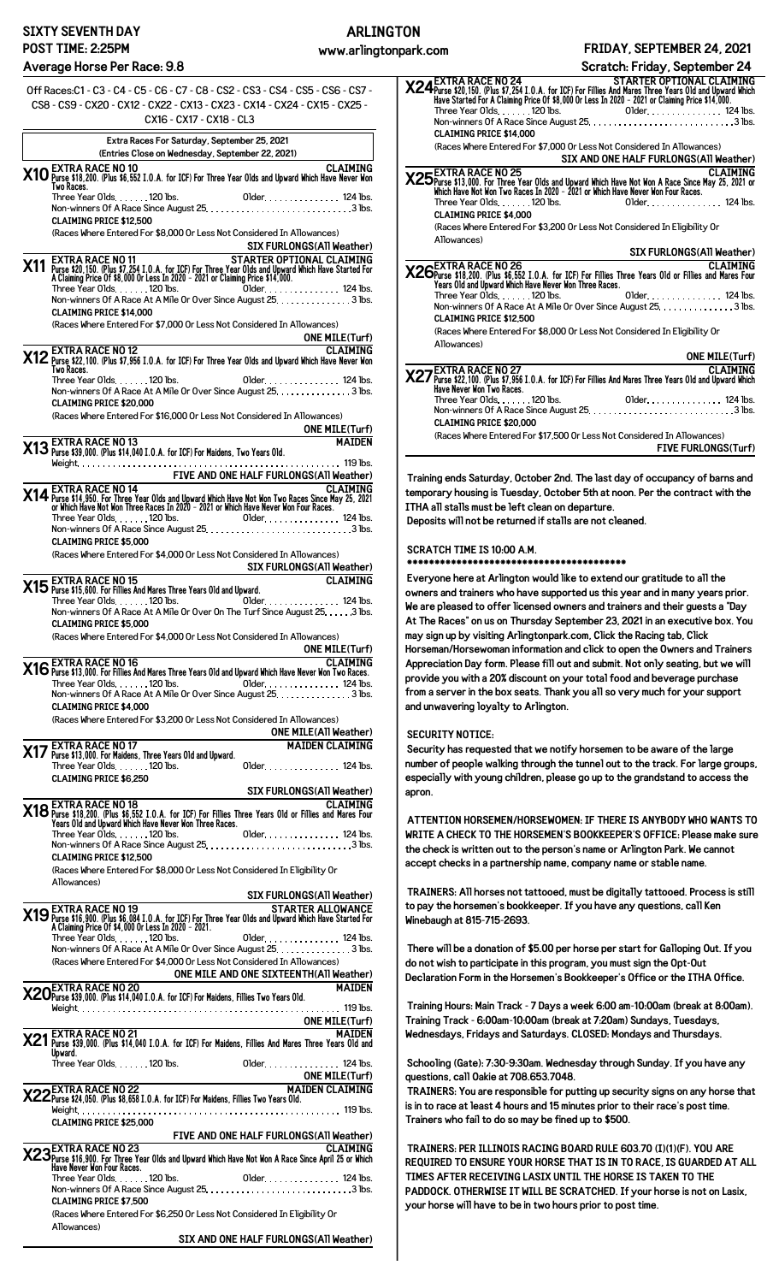#### **SIXTY SEVENTH DAY POST TIME: 2:25PM**

#### **Average Horse Per Race: 9.8**

| Average Horse Per Race: 9.8                                                                                                                                                                                                                                                                                 |
|-------------------------------------------------------------------------------------------------------------------------------------------------------------------------------------------------------------------------------------------------------------------------------------------------------------|
| 0ff Races:C1 - C3 - C4 - C5 - C6 - C7 - C8 - CS2 - CS3 - CS4 - CS5 - CS6 - CS7 -<br>CS8 - CS9 - CX20 - CX12 - CX22 - CX13 - CX23 - CX14 - CX24 - CX15 - CX25 -<br>CX16 - CX17 - CX18 - CL3                                                                                                                  |
| Extra Races For Saturday, September 25, 2021                                                                                                                                                                                                                                                                |
| (Entries Close on Wednesday, September 22, 2021)<br>CLAIMING (EXTRA RACE NO 10)<br>2006 Myse \$18,200. (Plus \$6,552 I.O.A. for ICF) For Three Year Olds and Upward Which Have Never Won                                                                                                                    |
| Two Races.<br>Three Year Olds. 120 lbs.                                                                                                                                                                                                                                                                     |
| <b>CLAIMING PRICE \$12,500</b>                                                                                                                                                                                                                                                                              |
| (Races Where Entered For \$8,000 Or Less Not Considered In Allowances)<br>SIX FURLONGS(All Weather)                                                                                                                                                                                                         |
| <b>EXTRA RACE NO 11</b><br>STARTER OPTIONAL CLAIMING<br>X11 Purse \$20,150. (Plus \$7,254 I.O.A. for ICF) For Three Year Olds and Upward Which Have Started For<br>A Claiming Price 0f \$8,000 Or Less In 2020 - 2021 or Claiming Price \$14,000.<br>Older 124 lbs.<br>Three Year Olds. $\ldots$ . 120 lbs. |
| Non-winners Of A Race At A Mile Or Over Since August 25. 3 lbs.<br><b>CLAIMING PRICE \$14.000</b><br>(Races Where Entered For \$7,000 Or Less Not Considered In Allowances)                                                                                                                                 |
| <b>ONE MILE(Turf)</b>                                                                                                                                                                                                                                                                                       |
| CLAIMING<br>X12 Purse \$22,100. (Plus \$7,956 I.O.A. for ICF) For Three Year Olds and Upward Which Have Never Won<br>Two Races.<br>Three Year Olds. 120 lbs.                                                                                                                                                |
| Older. 124 lbs.<br>Non-winners Of A Race At A Mile Or Over Since August 25. 3 lbs.<br><b>CLAIMING PRICE \$20,000</b><br>(Races Where Entered For \$16,000 Or Less Not Considered In Allowances)                                                                                                             |
| <b>ONE MILE(Turf)</b><br><b>MAIDEN</b><br><b>X13</b> EXTRA RACE NO 13<br><b>X13</b> Purse \$39,000. (Plus \$14,040 I.O.A. for ICF) For Maidens, Two Years Old.                                                                                                                                              |
|                                                                                                                                                                                                                                                                                                             |
| FIVE AND ONE HALF FURLONGS(All Weather)<br><b>CLAIMING</b><br><b>EXTRA RACE NO 14</b>                                                                                                                                                                                                                       |
| X14 Purse \$14,950. For Three Year Olds and Upward Which Have Not Won Two Races Since May 25, 2021<br>or Which Have Not Won Three Races In 2020 - 2021 or Which Have Never Won Four Races.                                                                                                                  |
| <b>CLAIMING PRICE \$5,000</b><br>(Races Where Entered For \$4,000 Or Less Not Considered In Allowances)<br>SIX FURLONGS(All Weather)                                                                                                                                                                        |
| <b>CLAIMING</b><br>- EXTRA RACE NO 15<br>X15 Purse \$15,600. For Fillies And Mares Three Years Old and Upward.                                                                                                                                                                                              |
| $\overline{0}$ Older. 124 lbs.<br>Three Year Olds. 120 lbs.<br>Non-winners Of A Race At A Mile Or Over On The Turf Since August 25. 3 lbs.<br><b>CLAIMING PRICE \$5,000</b>                                                                                                                                 |
| (Races Where Entered For \$4,000 Or Less Not Considered In Allowances)<br><b>ONE MILE(Turf)</b>                                                                                                                                                                                                             |
| ONE MILE(Turf)<br>CLAIMING<br>X16 Purse \$13,000. For Fillies And Mares Three Years Old and Upward Which Have Never Won Two Races.<br><b>CI ATMING</b>                                                                                                                                                      |
| <b>CLAIMING PRICE \$4,000</b>                                                                                                                                                                                                                                                                               |
| (Races Where Entered For \$3,200 Or Less Not Considered In Allowances)                                                                                                                                                                                                                                      |
| ONE MILE(All Weather)<br><b>X17</b> Purse \$13,000. For Maidens, Three Years Old and Upward.<br>Three Year Olds (Three Years of the Call Three Years of the CLAIMING)<br>Three Year Olds. 120 lbs.                                                                                                          |
| <b>CLAIMING PRICE \$6.250</b><br>EXTRA RACE NO.18<br>EXTRA RACE NO.18<br>PIECE 118 AND TO BE SERVED NOTE:                                                                                                                                                                                                   |
| X18 EX IRA RACE NO 18<br>Years 014 and Upward Which Have Never Won Three Races.<br>Years 01d and Upward Which Have Never Won Three Races.<br>Three Year Olds 1900 line of the Control of the Charles Three Sear Olds.                                                                                       |
| <b>CLAIMING PRICE \$12,500</b>                                                                                                                                                                                                                                                                              |
| (Races Where Entered For \$8,000 Or Less Not Considered In Eligibility Or<br>Allowances)                                                                                                                                                                                                                    |
| SIX FURLONGS(All Weather)                                                                                                                                                                                                                                                                                   |
| SIX FURLONGS(All Weather)<br><b>X19</b> EXTRA RACE NO 19<br>Purse \$16,900. (Plus \$6,084 I.O.A. for ICF) For Three Year Olds and Upward Which Have Started For<br>A Claiming Price Of \$4,000 Or Less In 2020 - 2021.<br>Three Year Olds                                                                   |
| Non-winners Of A Race At A Mile Or Over Since August 25. 3 lbs.<br>(Races Where Entered For \$4,000 Or Less Not Considered In Allowances)<br>ONE MILE AND ONE SIXTEENTH(All Weather)                                                                                                                        |
| $\mathsf{\Lambda}$ EXTRA RACE NO 20<br><b>MAIDEN</b><br>X20 Purse \$39,000. (Plus \$14,040 I.O.A. for ICF) For Maidens, Fillies Two Years Old.                                                                                                                                                              |
|                                                                                                                                                                                                                                                                                                             |
| ONE MILE(Turf)<br>X21 Purse \$39,000. (Plus \$14,040 I.O.A. for ICF) For Maidens, Fillies And Mares Three Years Old and<br>Instant University (Plus \$14,040 I.O.A. for ICF) For Maidens, Fillies And Mares Three Years Old and<br>Upward.                                                                  |
| Three Year Olds. 120 lbs. 01der. 124 lbs.                                                                                                                                                                                                                                                                   |
| ONE MILE(Turf)<br>X22 Purse \$24,050. (Plus \$8,658 I.O.A. for ICF) For Maidens, Fillies Two Years Old.<br>MAIDEN CLAIMING                                                                                                                                                                                  |
| <b>CLAIMING PRICE \$25,000</b><br>FIVE AND ONE HALF FURLONGS(All Weather)                                                                                                                                                                                                                                   |
| CLAIMING<br>X23Purse \$16,900. For Three Year Olds and Upward Which Have Not Won A Race Since April 25 or Which<br>Have Never Won Four Races.                                                                                                                                                               |
| <b>CLAIMING PRICE \$7,500</b>                                                                                                                                                                                                                                                                               |
| (Races Where Entered For \$6,250 Or Less Not Considered In Eligibility Or<br>Allowances)                                                                                                                                                                                                                    |

| SIX AND ONE HALF FURLONGS(A11 Weather) |  |
|----------------------------------------|--|

| <b>X24</b> EXTRA RACE NO 24<br><b>STARTER OPTIONAL CLAIMING</b><br>Have Started For A Claiming Price 0f \$8,000 Or Less In 2020 - 2021 or Claiming Price \$14,000<br><b>CLAIMING PRICE \$14.000</b>                                |
|------------------------------------------------------------------------------------------------------------------------------------------------------------------------------------------------------------------------------------|
| (Races Where Entered For \$7.000 Or Less Not Considered In Allowances)                                                                                                                                                             |
| SIX AND ONE HALF FURLONGS(All Weather)                                                                                                                                                                                             |
| CLAIMING<br>X25 Purse \$13,000. For Three Year Olds and Upward Which Have Not Won A Race Since May 25, 2021 or<br>Which Have Not Won Two Races In 2020 – 2021 or Which Have Never Won Four Races.<br><b>CLAIMING PRICE \$4.000</b> |
| (Races Where Entered For \$3,200 Or Less Not Considered In Eligibility Or                                                                                                                                                          |
| Allowances)                                                                                                                                                                                                                        |
|                                                                                                                                                                                                                                    |
|                                                                                                                                                                                                                                    |
| SIX FURLONGS(All Weather)                                                                                                                                                                                                          |
| CLAIMING<br>X26Purse \$18,200. (Plus \$6,552 I.O.A. for ICF) For Fillies Three Years Old or Fillies and Mares Four<br>Years Old and Upward Which Have Never Won Three Races.                                                       |
| Three Year Olds. 120 lbs. 01der. 124 lbs.                                                                                                                                                                                          |
| Non-winners Of A Race At A Mile Or Over Since August 25. 3 lbs.<br><b>CLAIMING PRICE \$12.500</b>                                                                                                                                  |
|                                                                                                                                                                                                                                    |
| (Races Where Entered For \$8,000 Or Less Not Considered In Eligibility Or                                                                                                                                                          |
| Allowances)                                                                                                                                                                                                                        |
| <b>ONE MILE(Turf)</b>                                                                                                                                                                                                              |
|                                                                                                                                                                                                                                    |
| CLAIMING<br>X27 Purse \$22,100. (Plus \$7,956 I.O.A. for ICF) For Fillies And Mares Three Years Old and Upward Which<br>Have Never Won Two Races.                                                                                  |
|                                                                                                                                                                                                                                    |
| <b>CLAIMING PRICE \$20.000</b><br>(Races Where Entered For \$17,500 Or Less Not Considered In Allowances)                                                                                                                          |

**Training ends Saturday, October 2nd. The last day of occupancy of barns and temporary housing is Tuesday, October 5th at noon. Per the contract with the ITHA all stalls must be left clean on departure.**

**Deposits will not be returned if stalls are not cleaned.**

**SCRATCH TIME IS 10:00 A.M.**

**\*\*\*\*\*\*\*\*\*\*\*\*\*\*\*\*\*\*\*\*\*\*\*\*\*\*\*\*\*\*\*\*\*\*\*\*\*\*\*\***

**Everyone here at Arlington would like to extend our gratitude to all the owners and trainers who have supported us this year and in many years prior. We are pleased to offer licensed owners and trainers and their guests a "Day At The Races" on us on Thursday September 23, 2021 in an executive box. You may sign up by visiting Arlingtonpark.com, Click the Racing tab, Click Horseman/Horsewoman information and click to open the Owners and Trainers Appreciation Day form. Please fill out and submit. Not only seating, but we will provide you with a 20% discount on your total food and beverage purchase from a server in the box seats. Thank you all so very much for your support and unwavering loyalty to Arlington.**

#### **SECURITY NOTICE:**

**Security has requested that we notify horsemen to be aware of the large number of people walking through the tunnel out to the track. For large groups, especially with young children, please go up to the grandstand to access the apron.**

**ATTENTION HORSEMEN/HORSEWOMEN: IF THERE IS ANYBODY WHO WANTS TO WRITE A CHECK TO THE HORSEMEN'S BOOKKEEPER'S OFFICE: Please make sure the check is written out to the person's name or Arlington Park. We cannot accept checks in a partnership name, company name or stable name.**

**TRAINERS: All horses not tattooed, must be digitally tattooed. Process is still to pay the horsemen's bookkeeper. If you have any questions, call Ken Winebaugh at 815-715-2693.**

**There will be a donation of \$5.00 per horse per start for Galloping Out. If you do not wish to participate in this program, you must sign the Opt-Out Declaration Form in the Horsemen's Bookkeeper's Office or the ITHA Office.**

**Training Hours: Main Track - 7 Days a week 6:00 am-10:00am (break at 8:00am). Training Track - 6:00am-10:00am (break at 7:20am) Sundays, Tuesdays, Wednesdays, Fridays and Saturdays. CLOSED: Mondays and Thursdays.**

**Schooling (Gate): 7:30-9:30am. Wednesday through Sunday. If you have any questions, call Oakie at 708.653.7048.**

**TRAINERS: You are responsible for putting up security signs on any horse that is in to race at least 4 hours and 15 minutes prior to their race's post time. Trainers who fail to do so may be fined up to \$500.**

**TRAINERS: PER ILLINOIS RACING BOARD RULE 603.70 (I)(1)(F). YOU ARE REQUIRED TO ENSURE YOUR HORSE THAT IS IN TO RACE, IS GUARDED AT ALL TIMES AFTER RECEIVING LASIX UNTIL THE HORSE IS TAKEN TO THE PADDOCK. OTHERWISE IT WILL BE SCRATCHED. If your horse is not on Lasix, your horse will have to be in two hours prior to post time.**